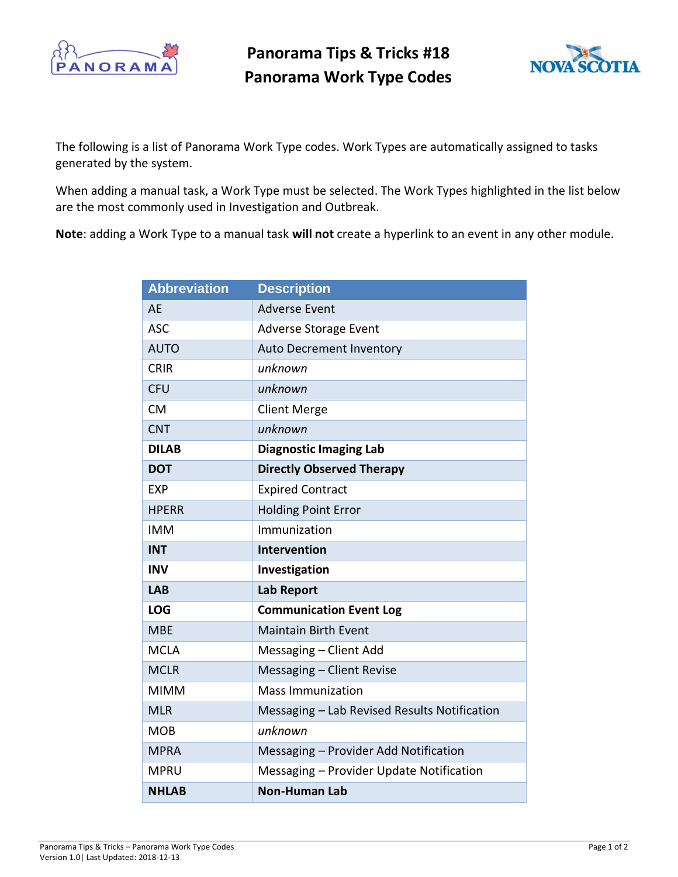

**Panorama Tips & Tricks #18 Panorama Work Type Codes**



The following is a list of Panorama Work Type codes. Work Types are automatically assigned to tasks generated by the system.

When adding a manual task, a Work Type must be selected. The Work Types highlighted in the list below are the most commonly used in Investigation and Outbreak.

**Note**: adding a Work Type to a manual task **will not** create a hyperlink to an event in any other module.

| <b>Abbreviation</b> | <b>Description</b>                           |
|---------------------|----------------------------------------------|
| <b>AE</b>           | <b>Adverse Event</b>                         |
| <b>ASC</b>          | <b>Adverse Storage Event</b>                 |
| <b>AUTO</b>         | <b>Auto Decrement Inventory</b>              |
| <b>CRIR</b>         | unknown                                      |
| <b>CFU</b>          | unknown                                      |
| <b>CM</b>           | <b>Client Merge</b>                          |
| <b>CNT</b>          | unknown                                      |
| <b>DILAB</b>        | <b>Diagnostic Imaging Lab</b>                |
| <b>DOT</b>          | <b>Directly Observed Therapy</b>             |
| EXP                 | <b>Expired Contract</b>                      |
| <b>HPERR</b>        | <b>Holding Point Error</b>                   |
| <b>IMM</b>          | Immunization                                 |
|                     |                                              |
| <b>INT</b>          | <b>Intervention</b>                          |
| <b>INV</b>          | Investigation                                |
| <b>LAB</b>          | <b>Lab Report</b>                            |
| <b>LOG</b>          | <b>Communication Event Log</b>               |
| <b>MBE</b>          | <b>Maintain Birth Event</b>                  |
| <b>MCLA</b>         | Messaging - Client Add                       |
| <b>MCLR</b>         | Messaging - Client Revise                    |
| <b>MIMM</b>         | <b>Mass Immunization</b>                     |
| <b>MLR</b>          | Messaging - Lab Revised Results Notification |
| <b>MOB</b>          | unknown                                      |
| <b>MPRA</b>         | Messaging - Provider Add Notification        |
| <b>MPRU</b>         | Messaging - Provider Update Notification     |